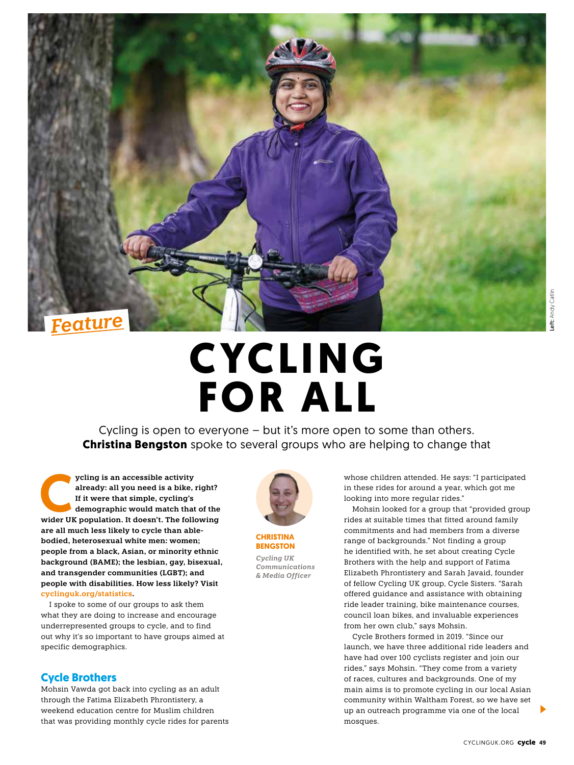

# **CYCLING FOR ALL**

Cycling is open to everyone – but it's more open to some than others. **Christina Bengston** spoke to several groups who are helping to change that

ycling is an accessible activity<br>
already: all you need is a bike, right?<br>
If it were that simple, cycling's<br>
demographic would match that of the<br>
wider UK population. It doesn't. The following **already: all you need is a bike, right? If it were that simple, cycling's demographic would match that of the are all much less likely to cycle than ablebodied, heterosexual white men: women; people from a black, Asian, or minority ethnic background (BAME); the lesbian, gay, bisexual, and transgender communities (LGBT); and people with disabilities. How less likely? Visit cyclinguk.org/statistics.**

I spoke to some of our groups to ask them what they are doing to increase and encourage underrepresented groups to cycle, and to find out why it's so important to have groups aimed at specific demographics.

## **Cycle Brothers**

Mohsin Vawda got back into cycling as an adult through the Fatima Elizabeth Phrontistery, a weekend education centre for Muslim children that was providing monthly cycle rides for parents



**CHRISTINA BENGSTON** *Cycling UK Communications* 

*& Media Officer*

whose children attended. He says: "I participated in these rides for around a year, which got me looking into more regular rides."

Mohsin looked for a group that "provided group rides at suitable times that fitted around family commitments and had members from a diverse range of backgrounds." Not finding a group he identified with, he set about creating Cycle Brothers with the help and support of Fatima Elizabeth Phrontistery and Sarah Javaid, founder of fellow Cycling UK group, Cycle Sisters. "Sarah offered guidance and assistance with obtaining ride leader training, bike maintenance courses, council loan bikes, and invaluable experiences from her own club," says Mohsin.

Cycle Brothers formed in 2019. "Since our launch, we have three additional ride leaders and have had over 100 cyclists register and join our rides," says Mohsin. "They come from a variety of races, cultures and backgrounds. One of my main aims is to promote cycling in our local Asian community within Waltham Forest, so we have set up an outreach programme via one of the local mosques.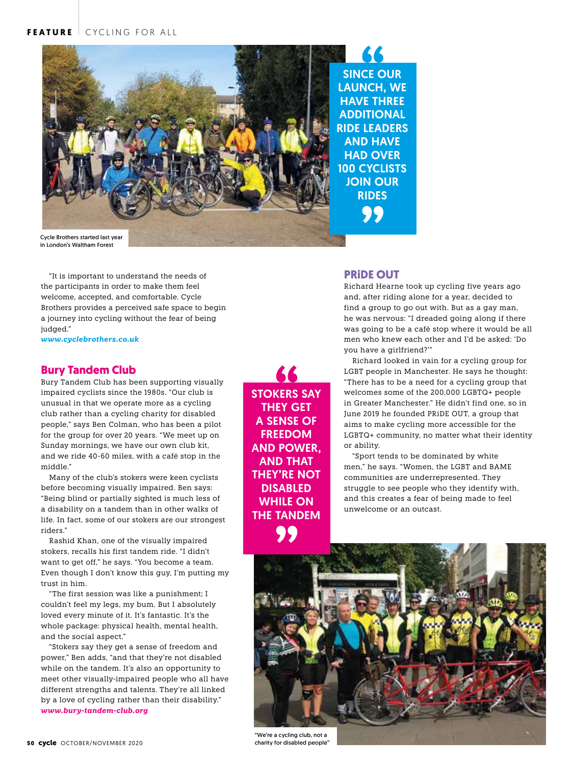## **FEATURE** CYCLING FOR ALL



SINCE OUR LAUNCH, WE HAVE THREE ADDITIONAL RIDE LEADERS AND HAVE HAD OVER 100 CYCLISTS JOIN OUR RIDES

in London's Waltham Forest

"It is important to understand the needs of the participants in order to make them feel welcome, accepted, and comfortable. Cycle Brothers provides a perceived safe space to begin a journey into cycling without the fear of being judged."

*www.cyclebrothers.co.uk*

### **Bury Tandem Club**

Bury Tandem Club has been supporting visually impaired cyclists since the 1980s. "Our club is unusual in that we operate more as a cycling club rather than a cycling charity for disabled people," says Ben Colman, who has been a pilot for the group for over 20 years. "We meet up on Sunday mornings, we have our own club kit, and we ride 40-60 miles, with a café stop in the middle."

Many of the club's stokers were keen cyclists before becoming visually impaired. Ben says: "Being blind or partially sighted is much less of a disability on a tandem than in other walks of life. In fact, some of our stokers are our strongest riders."

Rashid Khan, one of the visually impaired stokers, recalls his first tandem ride. "I didn't want to get off," he says. "You become a team. Even though I don't know this guy, I'm putting my trust in him.

"The first session was like a punishment; I couldn't feel my legs, my bum. But I absolutely loved every minute of it. It's fantastic. It's the whole package: physical health, mental health, and the social aspect."

"Stokers say they get a sense of freedom and power," Ben adds, "and that they're not disabled while on the tandem. It's also an opportunity to meet other visually-impaired people who all have different strengths and talents. They're all linked by a love of cycling rather than their disability." *www.bury-tandem-club.org*

STOKERS SAY THEY GET A SENSE OF FREEDOM AND POWER, AND THAT THEY'RE NOT DISABLED WHILE ON THE TANDEM

#### **PRiDE OUT**

Richard Hearne took up cycling five years ago and, after riding alone for a year, decided to find a group to go out with. But as a gay man, he was nervous: "I dreaded going along if there was going to be a café stop where it would be all men who knew each other and I'd be asked: 'Do you have a girlfriend?'"

Richard looked in vain for a cycling group for LGBT people in Manchester. He says he thought: "There has to be a need for a cycling group that welcomes some of the 200,000 LGBTQ+ people in Greater Manchester." He didn't find one, so in June 2019 he founded PRiDE OUT, a group that aims to make cycling more accessible for the LGBTQ+ community, no matter what their identity or ability.

"Sport tends to be dominated by white men," he says. "Women, the LGBT and BAME communities are underrepresented. They struggle to see people who they identify with, and this creates a fear of being made to feel unwelcome or an outcast.



charity for disabled people"